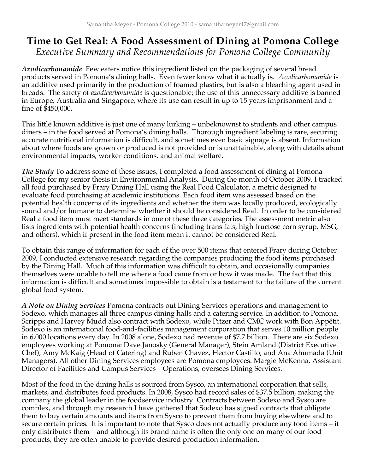## **Time to Get Real: A Food Assessment of Dining at Pomona College** *Executive Summary and Recommendations for Pomona College Community*

Azodicarbonamide Few eaters notice this ingredient listed on the packaging of several bread products served in Pomona's dining halls. Even fewer know what it actually is. *Azodicarbonamide* is an additive used primarily in the production of foamed plastics, but is also a bleaching agent used in breads. The safety of *azodicarbonamide* is questionable; the use of this unnecessary additive is banned in Europe, Australia and Singapore, where its use can result in up to 15 years imprisonment and a fine of \$450,000.

This little known additive is just one of many lurking – unbeknownst to students and other campus diners – in the food served at Pomona's dining halls. Thorough ingredient labeling is rare, securing accurate nutritional information is difficult, and sometimes even basic signage is absent. Information about where foods are grown or produced is not provided or is unattainable, along with details about environmental impacts, worker conditions, and animal welfare.

*The Study* To address some of these issues, I completed a food assessment of dining at Pomona College for my senior thesis in Environmental Analysis. During the month of October 2009, I tracked all food purchased by Frary Dining Hall using the Real Food Calculator, a metric designed to evaluate food purchasing at academic institutions. Each food item was assessed based on the potential health concerns of its ingredients and whether the item was locally produced, ecologically sound and/or humane to determine whether it should be considered Real. In order to be considered Real a food item must meet standards in one of these three categories. The assessment metric also lists ingredients with potential health concerns (including trans fats, high fructose corn syrup, MSG, and others), which if present in the food item mean it cannot be considered Real.

To obtain this range of information for each of the over 500 items that entered Frary during October 2009, I conducted extensive research regarding the companies producing the food items purchased by the Dining Hall. Much of this information was difficult to obtain, and occasionally companies themselves were unable to tell me where a food came from or how it was made. The fact that this information is difficult and sometimes impossible to obtain is a testament to the failure of the current global food system.

*A Note on Dining Services* Pomona contracts out Dining Services operations and management to Sodexo, which manages all three campus dining halls and a catering service. In addition to Pomona, Scripps and Harvey Mudd also contract with Sodexo, while Pitzer and CMC work with Bon Appétit. Sodexo is an international food-and-facilities management corporation that serves 10 million people in 6,000 locations every day. In 2008 alone, Sodexo had revenue of \$7.7 billion. There are six Sodexo employees working at Pomona: Dave Janosky (General Manager), Stein Amland (District Executive Chef), Amy McKaig (Head of Catering) and Ruben Chavez, Hector Castillo, and Ana Ahumada (Unit Managers). All other Dining Services employees are Pomona employees. Margie McKenna, Assistant Director of Facilities and Campus Services – Operations, oversees Dining Services.

Most of the food in the dining halls is sourced from Sysco, an international corporation that sells, markets, and distributes food products. In 2008, Sysco had record sales of \$37.5 billion, making the company the global leader in the foodservice industry. Contracts between Sodexo and Sysco are complex, and through my research I have gathered that Sodexo has signed contracts that obligate them to buy certain amounts and items from Sysco to prevent them from buying elsewhere and to secure certain prices. It is important to note that Sysco does not actually produce any food items – it only distributes them – and although its brand name is often the only one on many of our food products, they are often unable to provide desired production information.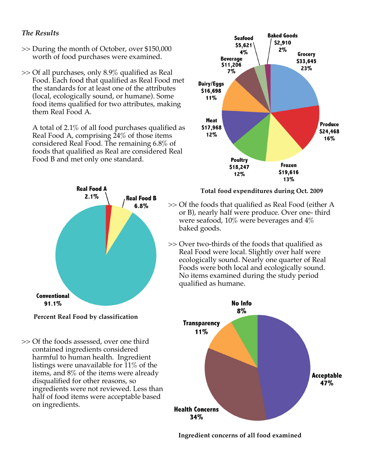## *The Results*

- >> During the month of October, over \$150,000 worth of food purchases were examined.
- >> Of all purchases, only 8.9% qualified as Real Food. Each food that qualified as Real Food met the standards for at least one of the attributes (local, ecologically sound, or humane). Some food items qualified for two attributes, making them Real Food A.

A total of 2.1% of all food purchases qualified as Real Food A, comprising 24% of those items considered Real Food. The remaining 6.8% of foods that qualified as Real are considered Real Food B and met only one standard.



- **Percent Real Food by classification**
- >> Of the foods assessed, over one third contained ingredients considered harmful to human health. Ingredient listings were unavailable for  $11\%$  of the items, and 8% of the items were already disqualified for other reasons, so ingredients were not reviewed. Less than half of food items were acceptable based on ingredients.



**Total food expenditures during Oct. 2009**

- >> Of the foods that qualified as Real Food (either A or B), nearly half were produce. Over one- third were seafood,  $10\%$  were beverages and  $4\%$ baked goods.
- >> Over two-thirds of the foods that qualified as Real Food were local. Slightly over half were ecologically sound. Nearly one quarter of Real Foods were both local and ecologically sound. No items examined during the study period qualified as humane.



**Ingredient concerns of all food examined**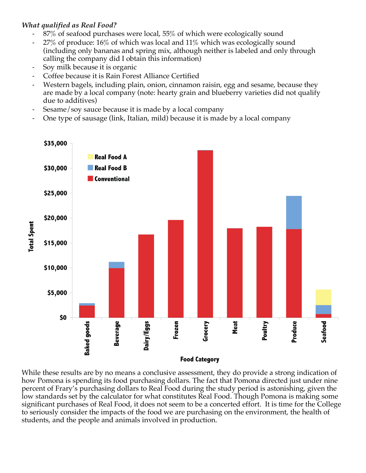## *What qualified as Real Food?*

- 87% of seafood purchases were local, 55% of which were ecologically sound
- 27% of produce: 16% of which was local and 11% which was ecologically sound (including only bananas and spring mix, although neither is labeled and only through calling the company did I obtain this information)
- ! Soy milk because it is organic
- ! Coffee because it is Rain Forest Alliance Certified
- Western bagels, including plain, onion, cinnamon raisin, egg and sesame, because they are made by a local company (note: hearty grain and blueberry varieties did not qualify due to additives)
- Sesame/soy sauce because it is made by a local company
- ! One type of sausage (link, Italian, mild) because it is made by a local company



While these results are by no means a conclusive assessment, they do provide a strong indication of how Pomona is spending its food purchasing dollars. The fact that Pomona directed just under nine percent of Frary's purchasing dollars to Real Food during the study period is astonishing, given the low standards set by the calculator for what constitutes Real Food. Though Pomona is making some significant purchases of Real Food, it does not seem to be a concerted effort. It is time for the College to seriously consider the impacts of the food we are purchasing on the environment, the health of students, and the people and animals involved in production.